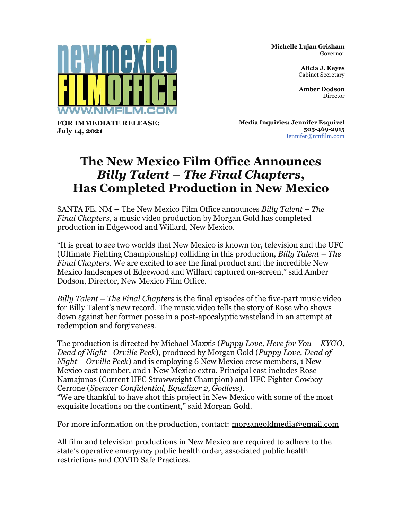

**Michelle Lujan Grisham** Governor

> **Alicia J. Keyes** Cabinet Secretary

> **Amber Dodson** Director

**FOR IMMEDIATE RELEASE: July 14, 2021**

**Media Inquiries: Jennifer Esquivel 505-469-2915** [Jennifer@nmfilm.com](mailto:jennifer@nmfilm.com)

## **The New Mexico Film Office Announces**  *Billy Talent – The Final Chapters***, Has Completed Production in New Mexico**

SANTA FE, NM **–** The New Mexico Film Office announces *Billy Talent – The Final Chapters*, a music video production by Morgan Gold has completed production in Edgewood and Willard, New Mexico.

"It is great to see two worlds that New Mexico is known for, television and the UFC (Ultimate Fighting Championship) colliding in this production, *Billy Talent – The Final Chapters*. We are excited to see the final product and the incredible New Mexico landscapes of Edgewood and Willard captured on-screen," said Amber Dodson, Director, New Mexico Film Office.

*Billy Talent – The Final Chapters* is the final episodes of the five-part music video for Billy Talent's new record. The music video tells the story of Rose who shows down against her former posse in a post-apocalyptic wasteland in an attempt at redemption and forgiveness.

The production is directed by Michael Maxxis (*Puppy Love, Here for You – KYGO, Dead of Night - Orville Peck*), produced by Morgan Gold (*Puppy Love, Dead of Night – Orville Peck*) and is employing 6 New Mexico crew members, 1 New Mexico cast member, and 1 New Mexico extra. Principal cast includes Rose Namajunas (Current UFC Strawweight Champion) and UFC Fighter Cowboy Cerrone (*Spencer Confidential, Equalizer 2, Godless*).

"We are thankful to have shot this project in New Mexico with some of the most exquisite locations on the continent," said Morgan Gold.

For more information on the production, contact: [morgangoldmedia@gmail.com](mailto:morgangoldmedia@gmail.com)

All film and television productions in New Mexico are required to adhere to the state's operative emergency public health order, associated public health restrictions and COVID Safe Practices.